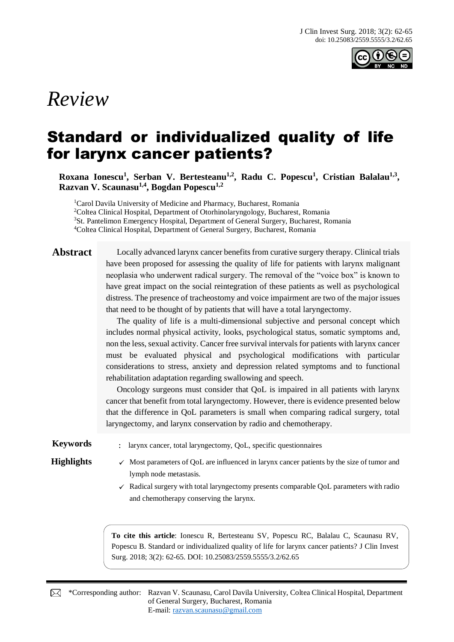

# *Review*

# Standard or individualized quality of life for larynx cancer patients?

**Roxana Ionescu<sup>1</sup> , Serban V. Bertesteanu1,2, Radu C. Popescu<sup>1</sup> , Cristian Balalau1,3 , Razvan V. Scaunasu1,4, Bogdan Popescu1,2**

<sup>1</sup>Carol Davila University of Medicine and Pharmacy, Bucharest, Romania <sup>2</sup>Coltea Clinical Hospital, Department of Otorhinolaryngology, Bucharest, Romania <sup>3</sup>St. Pantelimon Emergency Hospital, Department of General Surgery, Bucharest, Romania <sup>4</sup>Coltea Clinical Hospital, Department of General Surgery, Bucharest, Romania

Abstract Locally advanced larynx cancer benefits from curative surgery therapy. Clinical trials have been proposed for assessing the quality of life for patients with larynx malignant neoplasia who underwent radical surgery. The removal of the "voice box" is known to have great impact on the social reintegration of these patients as well as psychological distress. The presence of tracheostomy and voice impairment are two of the major issues that need to be thought of by patients that will have a total laryngectomy.

> The quality of life is a multi-dimensional subjective and personal concept which includes normal physical activity, looks, psychological status, somatic symptoms and, non the less, sexual activity. Cancer free survival intervals for patients with larynx cancer must be evaluated physical and psychological modifications with particular considerations to stress, anxiety and depression related symptoms and to functional rehabilitation adaptation regarding swallowing and speech.

> Oncology surgeons must consider that QoL is impaired in all patients with larynx cancer that benefit from total laryngectomy. However, there is evidence presented below that the difference in QoL parameters is small when comparing radical surgery, total laryngectomy, and larynx conservation by radio and chemotherapy.

**Keywords** : larynx cancer, total laryngectomy, QoL, specific questionnaires

- **Highlights**  $\checkmark$  Most parameters of QoL are influenced in larynx cancer patients by the size of tumor and lymph node metastasis.
	- $\checkmark$  Radical surgery with total laryngectomy presents comparable QoL parameters with radio and chemotherapy conserving the larynx.

**To cite this article**: Ionescu R, Bertesteanu SV, Popescu RC, Balalau C, Scaunasu RV, Popescu B. Standard or individualized quality of life for larynx cancer patients? J Clin Invest Surg. 2018; 3(2): 62-65. DOI: 10.25083/2559.5555/3.2/62.65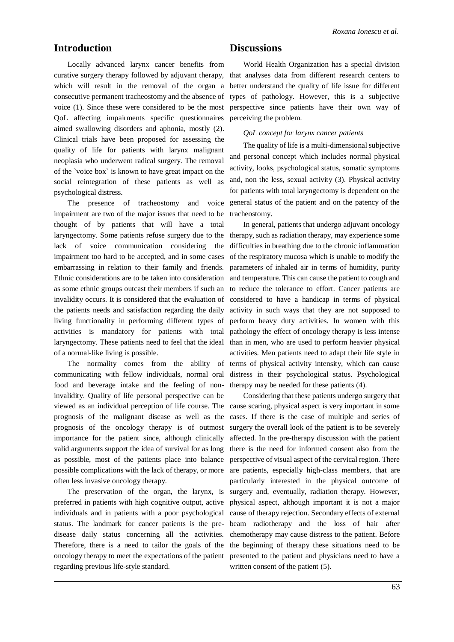### **Introduction**

Locally advanced larynx cancer benefits from curative surgery therapy followed by adjuvant therapy, which will result in the removal of the organ a consecutive permanent tracheostomy and the absence of voice (1). Since these were considered to be the most QoL affecting impairments specific questionnaires aimed swallowing disorders and aphonia, mostly (2). Clinical trials have been proposed for assessing the quality of life for patients with larynx malignant neoplasia who underwent radical surgery. The removal of the `voice box` is known to have great impact on the social reintegration of these patients as well as psychological distress.

The presence of tracheostomy and voice impairment are two of the major issues that need to be thought of by patients that will have a total laryngectomy. Some patients refuse surgery due to the lack of voice communication considering the impairment too hard to be accepted, and in some cases embarrassing in relation to their family and friends. Ethnic considerations are to be taken into consideration as some ethnic groups outcast their members if such an invalidity occurs. It is considered that the evaluation of the patients needs and satisfaction regarding the daily living functionality in performing different types of activities is mandatory for patients with total laryngectomy. These patients need to feel that the ideal of a normal-like living is possible.

communicating with fellow individuals, normal oral food and beverage intake and the feeling of noninvalidity. Quality of life personal perspective can be viewed as an individual perception of life course. The prognosis of the malignant disease as well as the prognosis of the oncology therapy is of outmost importance for the patient since, although clinically valid arguments support the idea of survival for as long as possible, most of the patients place into balance possible complications with the lack of therapy, or more often less invasive oncology therapy.

preferred in patients with high cognitive output, active individuals and in patients with a poor psychological status. The landmark for cancer patients is the predisease daily status concerning all the activities. Therefore, there is a need to tailor the goals of the oncology therapy to meet the expectations of the patient regarding previous life-style standard.

## **Discussions**

World Health Organization has a special division that analyses data from different research centers to better understand the quality of life issue for different types of pathology. However, this is a subjective perspective since patients have their own way of perceiving the problem.

*QoL concept for larynx cancer patients*

The quality of life is a multi-dimensional subjective and personal concept which includes normal physical activity, looks, psychological status, somatic symptoms and, non the less, sexual activity (3). Physical activity for patients with total laryngectomy is dependent on the general status of the patient and on the patency of the tracheostomy.

The normality comes from the ability of terms of physical activity intensity, which can cause In general, patients that undergo adjuvant oncology therapy, such as radiation therapy, may experience some difficulties in breathing due to the chronic inflammation of the respiratory mucosa which is unable to modify the parameters of inhaled air in terms of humidity, purity and temperature. This can cause the patient to cough and to reduce the tolerance to effort. Cancer patients are considered to have a handicap in terms of physical activity in such ways that they are not supposed to perform heavy duty activities. In women with this pathology the effect of oncology therapy is less intense than in men, who are used to perform heavier physical activities. Men patients need to adapt their life style in distress in their psychological status. Psychological therapy may be needed for these patients (4).

The preservation of the organ, the larynx, is surgery and, eventually, radiation therapy. However, Considering that these patients undergo surgery that cause scaring, physical aspect is very important in some cases. If there is the case of multiple and series of surgery the overall look of the patient is to be severely affected. In the pre-therapy discussion with the patient there is the need for informed consent also from the perspective of visual aspect of the cervical region. There are patients, especially high-class members, that are particularly interested in the physical outcome of physical aspect, although important it is not a major cause of therapy rejection. Secondary effects of external beam radiotherapy and the loss of hair after chemotherapy may cause distress to the patient. Before the beginning of therapy these situations need to be presented to the patient and physicians need to have a written consent of the patient  $(5)$ .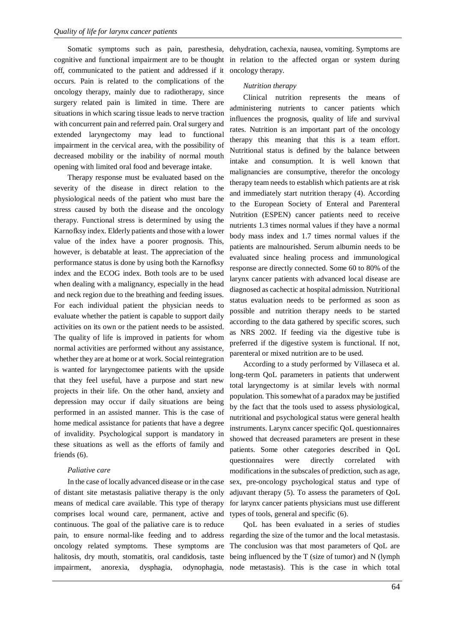Somatic symptoms such as pain, paresthesia, cognitive and functional impairment are to be thought off, communicated to the patient and addressed if it occurs. Pain is related to the complications of the oncology therapy, mainly due to radiotherapy, since surgery related pain is limited in time. There are situations in which scaring tissue leads to nerve traction with concurrent pain and referred pain. Oral surgery and extended laryngectomy may lead to functional impairment in the cervical area, with the possibility of decreased mobility or the inability of normal mouth opening with limited oral food and beverage intake.

Therapy response must be evaluated based on the severity of the disease in direct relation to the physiological needs of the patient who must bare the stress caused by both the disease and the oncology therapy. Functional stress is determined by using the Karnofksy index. Elderly patients and those with a lower value of the index have a poorer prognosis. This, however, is debatable at least. The appreciation of the performance status is done by using both the Karnofksy index and the ECOG index. Both tools are to be used when dealing with a malignancy, especially in the head and neck region due to the breathing and feeding issues. For each individual patient the physician needs to evaluate whether the patient is capable to support daily activities on its own or the patient needs to be assisted. The quality of life is improved in patients for whom normal activities are performed without any assistance, whether they are at home or at work. Social reintegration is wanted for laryngectomee patients with the upside that they feel useful, have a purpose and start new projects in their life. On the other hand, anxiety and depression may occur if daily situations are being performed in an assisted manner. This is the case of home medical assistance for patients that have a degree of invalidity. Psychological support is mandatory in these situations as well as the efforts of family and friends (6).

### *Paliative care*

In the case of locally advanced disease or in the case of distant site metastasis paliative therapy is the only means of medical care available. This type of therapy comprises local wound care, permanent, active and continuous. The goal of the paliative care is to reduce pain, to ensure normal-like feeding and to address oncology related symptoms. These symptoms are halitosis, dry mouth, stomatitis, oral candidosis, taste

dehydration, cachexia, nausea, vomiting. Symptoms are in relation to the affected organ or system during oncology therapy.

#### *Nutrition therapy*

Clinical nutrition represents the means of administering nutrients to cancer patients which influences the prognosis, quality of life and survival rates. Nutrition is an important part of the oncology therapy this meaning that this is a team effort. Nutritional status is defined by the balance between intake and consumption. It is well known that malignancies are consumptive, therefor the oncology therapy team needs to establish which patients are at risk and immediately start nutrition therapy (4). According to the European Society of Enteral and Parenteral Nutrition (ESPEN) cancer patients need to receive nutrients 1.3 times normal values if they have a normal body mass index and 1.7 times normal values if the patients are malnourished. Serum albumin needs to be evaluated since healing process and immunological response are directly connected. Some 60 to 80% of the larynx cancer patients with advanced local disease are diagnosed as cachectic at hospital admission. Nutritional status evaluation needs to be performed as soon as possible and nutrition therapy needs to be started according to the data gathered by specific scores, such as NRS 2002. If feeding via the digestive tube is preferred if the digestive system is functional. If not, parenteral or mixed nutrition are to be used.

According to a study performed by Villaseca et al. long-term QoL parameters in patients that underwent total laryngectomy is at similar levels with normal population. This somewhat of a paradox may be justified by the fact that the tools used to assess physiological, nutritional and psychological status were general health instruments. Larynx cancer specific QoL questionnaires showed that decreased parameters are present in these patients. Some other categories described in QoL questionnaires were directly correlated with modifications in the subscales of prediction, such as age, sex, pre-oncology psychological status and type of adjuvant therapy (5). To assess the parameters of QoL for larynx cancer patients physicians must use different types of tools, general and specific (6).

impairment, anorexia, dysphagia, odynophagia, node metastasis). This is the case in which total QoL has been evaluated in a series of studies regarding the size of the tumor and the local metastasis. The conclusion was that most parameters of QoL are being influenced by the T (size of tumor) and N (lymph